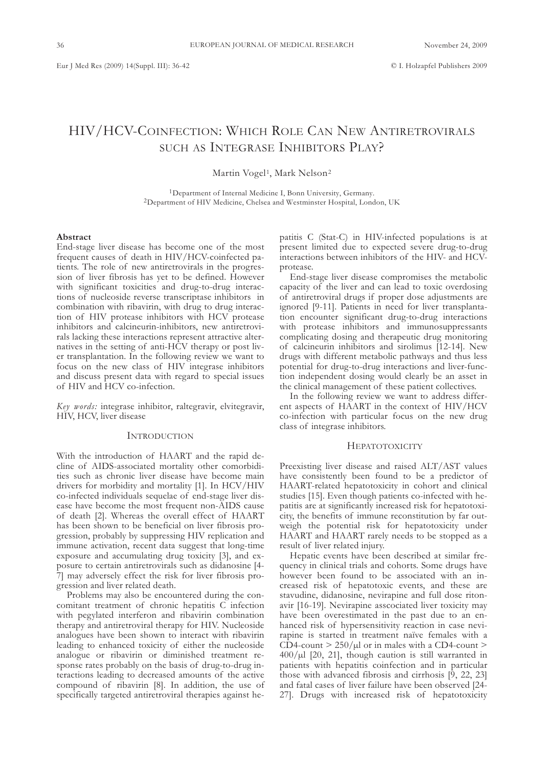Eur J Med Res (2009) 14(Suppl. III): 36-42 © I. Holzapfel Publishers 2009

# HIV/HCV-COINFECTION: WHICH ROLE CAN NEW ANTIRETROVIRALS SUCH AS INTEGRASE INHIBITORS PLAY?

Martin Vogel<sup>1</sup>, Mark Nelson<sup>2</sup>

1Department of Internal Medicine I, Bonn University, Germany. 2Department of HIV Medicine, Chelsea and Westminster Hospital, London, UK

#### **Abstract**

End-stage liver disease has become one of the most frequent causes of death in HIV/HCV-coinfected patients. The role of new antiretrovirals in the progression of liver fibrosis has yet to be defined. However with significant toxicities and drug-to-drug interactions of nucleoside reverse transcriptase inhibitors in combination with ribavirin, with drug to drug interaction of HIV protease inhibitors with HCV protease inhibitors and calcineurin-inhibitors, new antiretrovirals lacking these interactions represent attractive alternatives in the setting of anti-HCV therapy or post liver transplantation. In the following review we want to focus on the new class of HIV integrase inhibitors and discuss present data with regard to special issues of HIV and HCV co-infection.

*Key words:* integrase inhibitor, raltegravir, elvitegravir, HIV, HCV, liver disease

#### **INTRODUCTION**

With the introduction of HAART and the rapid decline of AIDS-associated mortality other comorbidities such as chronic liver disease have become main drivers for morbidity and mortality [1]. In HCV/HIV co-infected individuals sequelae of end-stage liver disease have become the most frequent non-AIDS cause of death [2]. Whereas the overall effect of HAART has been shown to be beneficial on liver fibrosis progression, probably by suppressing HIV replication and immune activation, recent data suggest that long-time exposure and accumulating drug toxicity [3], and exposure to certain antiretrovirals such as didanosine [4- 7] may adversely effect the risk for liver fibrosis progression and liver related death.

Problems may also be encountered during the concomitant treatment of chronic hepatitis C infection with pegylated interferon and ribavirin combination therapy and antiretroviral therapy for HIV. Nucleoside analogues have been shown to interact with ribavirin leading to enhanced toxicity of either the nucleoside analogue or ribavirin or diminished treatment response rates probably on the basis of drug-to-drug interactions leading to decreased amounts of the active compound of ribavirin [8]. In addition, the use of specifically targeted antiretroviral therapies against he-

patitis C (Stat-C) in HIV-infected populations is at present limited due to expected severe drug-to-drug interactions between inhibitors of the HIV- and HCVprotease.

End-stage liver disease compromises the metabolic capacity of the liver and can lead to toxic overdosing of antiretroviral drugs if proper dose adjustments are ignored [9-11]. Patients in need for liver transplantation encounter significant drug-to-drug interactions with protease inhibitors and immunosuppressants complicating dosing and therapeutic drug monitoring of calcineurin inhibitors and sirolimus [12-14]. New drugs with different metabolic pathways and thus less potential for drug-to-drug interactions and liver-function independent dosing would clearly be an asset in the clinical management of these patient collectives.

In the following review we want to address different aspects of HAART in the context of HIV/HCV co-infection with particular focus on the new drug class of integrase inhibitors.

# HEPATOTOXICITY

Preexisting liver disease and raised ALT/AST values have consistently been found to be a predictor of HAART-related hepatotoxicity in cohort and clinical studies [15]. Even though patients co-infected with hepatitis are at significantly increased risk for hepatotoxicity, the benefits of immune reconstitution by far outweigh the potential risk for hepatotoxicity under HAART and HAART rarely needs to be stopped as a result of liver related injury.

Hepatic events have been described at similar frequency in clinical trials and cohorts. Some drugs have however been found to be associated with an increased risk of hepatotoxic events, and these are stavudine, didanosine, nevirapine and full dose ritonavir [16-19]. Nevirapine asscociated liver toxicity may have been overestimated in the past due to an enhanced risk of hypersensitivity reaction in case nevirapine is started in treatment naïve females with a CD4-count  $> 250/\mu$ l or in males with a CD4-count  $>$  $400/\mu$ l [20, 21], though caution is still warranted in patients with hepatitis coinfection and in particular those with advanced fibrosis and cirrhosis [9, 22, 23] and fatal cases of liver failure have been observed [24- 27]. Drugs with increased risk of hepatotoxicity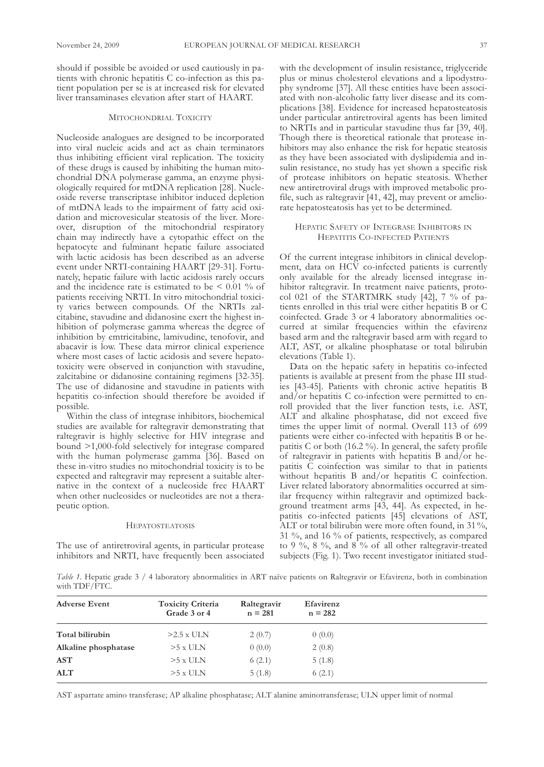should if possible be avoided or used cautiously in patients with chronic hepatitis C co-infection as this patient population per se is at increased risk for elevated liver transaminases elevation after start of HAART.

# MITOCHONDRIAL TOXICITY

Nucleoside analogues are designed to be incorporated into viral nucleic acids and act as chain terminators thus inhibiting efficient viral replication. The toxicity of these drugs is caused by inhibiting the human mitochondrial DNA polymerase gamma, an enzyme physiologically required for mtDNA replication [28]. Nucleoside reverse transcriptase inhibitor induced depletion of mtDNA leads to the impairment of fatty acid oxidation and microvesicular steatosis of the liver. Moreover, disruption of the mitochondrial respiratory chain may indirectly have a cytopathic effect on the hepatocyte and fulminant hepatic failure associated with lactic acidosis has been described as an adverse event under NRTI-containing HAART [29-31]. Fortunately, hepatic failure with lactic acidosis rarely occurs and the incidence rate is estimated to be  $\leq 0.01$  % of patients receiving NRTI. In vitro mitochondrial toxicity varies between compounds. Of the NRTIs zalcitabine, stavudine and didanosine exert the highest inhibition of polymerase gamma whereas the degree of inhibition by emtricitabine, lamivudine, tenofovir, and abacavir is low. These data mirror clinical experience where most cases of lactic acidosis and severe hepatotoxicity were observed in conjunction with stavudine, zalcitabine or didanosine containing regimens [32-35]. The use of didanosine and stavudine in patients with hepatitis co-infection should therefore be avoided if possible.

Within the class of integrase inhibitors, biochemical studies are available for raltegravir demonstrating that raltegravir is highly selective for HIV integrase and bound >1,000-fold selectively for integrase compared with the human polymerase gamma [36]. Based on these in-vitro studies no mitochondrial toxicity is to be expected and raltegravir may represent a suitable alternative in the context of a nucleoside free HAART when other nucleosides or nucleotides are not a therapeutic option.

#### HEPATOSTEATOSIS

The use of antiretroviral agents, in particular protease inhibitors and NRTI, have frequently been associated

with the development of insulin resistance, triglyceride plus or minus cholesterol elevations and a lipodystrophy syndrome [37]. All these entities have been associated with non-alcoholic fatty liver disease and its complications [38]. Evidence for increased hepatosteatosis under particular antiretroviral agents has been limited to NRTIs and in particular stavudine thus far [39, 40]. Though there is theoretical rationale that protease inhibitors may also enhance the risk for hepatic steatosis as they have been associated with dyslipidemia and insulin resistance, no study has yet shown a specific risk of protease inhibitors on hepatic steatosis. Whether new antiretroviral drugs with improved metabolic profile, such as raltegravir [41, 42], may prevent or ameliorate hepatosteatosis has yet to be determined.

# HEPATIC SAFETY OF INTEGRASE INHIBITORS IN HEPATITIS CO-INFECTED PATIENTS

Of the current integrase inhibitors in clinical development, data on HCV co-infected patients is currently only available for the already licensed integrase inhibitor raltegravir. In treatment naive patients, protocol 021 of the STARTMRK study [42], 7 % of patients enrolled in this trial were either hepatitis B or C coinfected. Grade 3 or 4 laboratory abnormalities occurred at similar frequencies within the efavirenz based arm and the raltegravir based arm with regard to ALT, AST, or alkaline phosphatase or total bilirubin elevations (Table 1).

Data on the hepatic safety in hepatitis co-infected patients is available at present from the phase III studies [43-45]. Patients with chronic active hepatitis B and/or hepatitis C co-infection were permitted to enroll provided that the liver function tests, i.e. AST, ALT and alkaline phosphatase, did not exceed five times the upper limit of normal. Overall 113 of 699 patients were either co-infected with hepatitis B or hepatitis C or both (16.2 %). In general, the safety profile of raltegravir in patients with hepatitis B and/or hepatitis  $\tilde{C}$  coinfection was similar to that in patients without hepatitis B and/or hepatitis C coinfection. Liver related laboratory abnormalities occurred at similar frequency within raltegravir and optimized background treatment arms [43, 44]. As expected, in hepatitis co-infected patients [45] elevations of AST, ALT or total bilirubin were more often found, in 31%, 31 %, and 16 % of patients, respectively, as compared to 9 %, 8 %, and 8 % of all other raltegravir-treated subjects (Fig. 1). Two recent investigator initiated stud-

*Table 1.* Hepatic grade 3 / 4 laboratory abnormalities in ART naïve patients on Raltegravir or Efavirenz, both in combination with TDF/FTC.

| <b>Adverse Event</b>               | <b>Toxicity Criteria</b><br>Grade 3 or 4 | Raltegravir<br>$n = 281$ | Efavirenz<br>$n = 282$ |
|------------------------------------|------------------------------------------|--------------------------|------------------------|
| Total bilirubin                    | $>2.5$ x ULN                             | 2(0.7)                   | 0(0.0)                 |
| Alkaline phosphatase               | $>5$ x ULN                               | 0(0.0)                   | 2(0.8)                 |
| <b>AST</b>                         | $>5$ x ULN                               | 6(2.1)                   | 5(1.8)                 |
| $\mathbf{A} \mathbf{L} \mathbf{T}$ | $>5$ x ULN                               | 5(1.8)                   | 6(2.1)                 |

AST aspartate amino transferase; AP alkaline phosphatase; ALT alanine aminotransferase; ULN upper limit of normal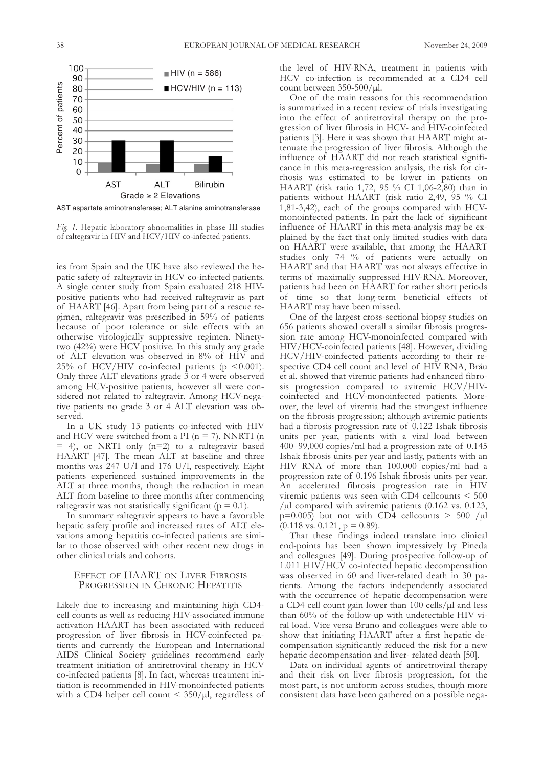

AST aspartate aminotransferase; ALT alanine aminotransferase

*Fig. 1.* Hepatic laboratory abnormalities in phase III studies of raltegravir in HIV and HCV/HIV co-infected patients.

ies from Spain and the UK have also reviewed the hepatic safety of raltegravir in HCV co-infected patients. A single center study from Spain evaluated 218 HIVpositive patients who had received raltegravir as part of HAART [46]. Apart from being part of a rescue regimen, raltegravir was prescribed in 59% of patients because of poor tolerance or side effects with an otherwise virologically suppressive regimen. Ninetytwo (42%) were HCV positive. In this study any grade of ALT elevation was observed in 8% of HIV and 25% of HCV/HIV co-infected patients ( $p \le 0.001$ ). Only three ALT elevations grade 3 or 4 were observed among HCV-positive patients, however all were considered not related to raltegravir. Among HCV-negative patients no grade 3 or 4 ALT elevation was observed.

In a UK study 13 patients co-infected with HIV and HCV were switched from a PI ( $n = 7$ ), NNRTI (n  $= 4$ ), or NRTI only (n=2) to a raltegravir based HAART [47]. The mean ALT at baseline and three months was 247 U/l and 176 U/l, respectively. Eight patients experienced sustained improvements in the ALT at three months, though the reduction in mean ALT from baseline to three months after commencing raltegravir was not statistically significant ( $p = 0.1$ ).

In summary raltegravir appears to have a favorable hepatic safety profile and increased rates of ALT elevations among hepatitis co-infected patients are similar to those observed with other recent new drugs in other clinical trials and cohorts.

# EFFECT OF HAART ON LIVER FIBROSIS PROGRESSION IN CHRONIC HEPATITIS

Likely due to increasing and maintaining high CD4 cell counts as well as reducing HIV-associated immune activation HAART has been associated with reduced progression of liver fibrosis in HCV-coinfected patients and currently the European and International AIDS Clinical Society guidelines recommend early treatment initiation of antiretroviral therapy in HCV co-infected patients [8]. In fact, whereas treatment initiation is recommended in HIV-monoinfected patients with a CD4 helper cell count  $<$  350/ $\mu$ l, regardless of the level of HIV-RNA, treatment in patients with HCV co-infection is recommended at a CD4 cell count between 350-500/µl.

One of the main reasons for this recommendation is summarized in a recent review of trials investigating into the effect of antiretroviral therapy on the progression of liver fibrosis in HCV- and HIV-coinfected patients [3]. Here it was shown that HAART might attenuate the progression of liver fibrosis. Although the influence of HAART did not reach statistical significance in this meta-regression analysis, the risk for cirrhosis was estimated to be lower in patients on HAART (risk ratio 1,72, 95 % CI 1,06-2,80) than in patients without HAART (risk ratio 2,49, 95 % CI 1,81-3,42), each of the groups compared with HCVmonoinfected patients. In part the lack of significant influence of HAART in this meta-analysis may be explained by the fact that only limited studies with data on HAART were available, that among the HAART studies only 74 % of patients were actually on HAART and that HAART was not always effective in terms of maximally suppressed HIV-RNA. Moreover, patients had been on HAART for rather short periods of time so that long-term beneficial effects of HAART may have been missed.

One of the largest cross-sectional biopsy studies on 656 patients showed overall a similar fibrosis progression rate among HCV-monoinfected compared with HIV/HCV-coinfected patients [48]. However, dividing HCV/HIV-coinfected patients according to their respective CD4 cell count and level of HIV RNA, Bräu et al. showed that viremic patients had enhanced fibrosis progression compared to aviremic HCV/HIVcoinfected and HCV-monoinfected patients. Moreover, the level of viremia had the strongest influence on the fibrosis progression; although aviremic patients had a fibrosis progression rate of 0.122 Ishak fibrosis units per year, patients with a viral load between 400–99,000 copies/ml had a progression rate of 0.145 Ishak fibrosis units per year and lastly, patients with an HIV RNA of more than 100,000 copies/ml had a progression rate of 0.196 Ishak fibrosis units per year. An accelerated fibrosis progression rate in HIV viremic patients was seen with CD4 cellcounts < 500 / $\mu$ l compared with aviremic patients (0.162 vs. 0.123,  $p=0.005$ ) but not with CD4 cellcounts > 500 /µl  $(0.118 \text{ vs. } 0.121, \text{ p} = 0.89).$ 

That these findings indeed translate into clinical end-points has been shown impressively by Pineda and colleagues [49]. During prospective follow-up of 1.011 HIV/HCV co-infected hepatic decompensation was observed in 60 and liver-related death in 30 patients. Among the factors independently associated with the occurrence of hepatic decompensation were a CD4 cell count gain lower than 100 cells/µl and less than 60% of the follow-up with undetectable HIV viral load. Vice versa Bruno and colleagues were able to show that initiating HAART after a first hepatic decompensation significantly reduced the risk for a new hepatic decompensation and liver- related death [50].

Data on individual agents of antiretroviral therapy and their risk on liver fibrosis progression, for the most part, is not uniform across studies, though more consistent data have been gathered on a possible nega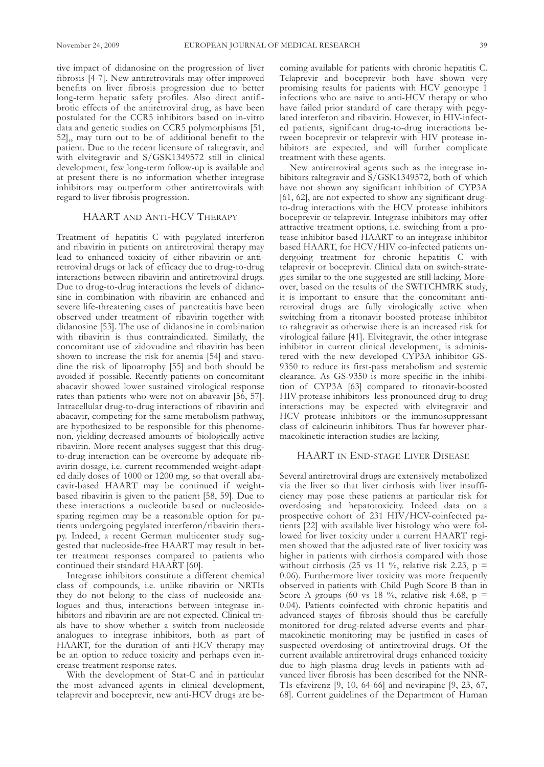tive impact of didanosine on the progression of liver fibrosis [4-7]. New antiretrovirals may offer improved benefits on liver fibrosis progression due to better long-term hepatic safety profiles. Also direct antifibrotic effects of the antiretroviral drug, as have been postulated for the CCR5 inhibitors based on in-vitro data and genetic studies on CCR5 polymorphisms [51, 52],, may turn out to be of additional benefit to the patient. Due to the recent licensure of raltegravir, and with elvitegravir and S/GSK1349572 still in clinical development, few long-term follow-up is available and at present there is no information whether integrase inhibitors may outperform other antiretrovirals with regard to liver fibrosis progression.

# HAART AND ANTI-HCV THERAPY

Treatment of hepatitis C with pegylated interferon and ribavirin in patients on antiretroviral therapy may lead to enhanced toxicity of either ribavirin or antiretroviral drugs or lack of efficacy due to drug-to-drug interactions between ribavirin and antiretroviral drugs. Due to drug-to-drug interactions the levels of didanosine in combination with ribavirin are enhanced and severe life-threatening cases of pancreatitis have been observed under treatment of ribavirin together with didanosine [53]. The use of didanosine in combination with ribavirin is thus contraindicated. Similarly, the concomitant use of zidovudine and ribavirin has been shown to increase the risk for anemia [54] and stavudine the risk of lipoatrophy [55] and both should be avoided if possible. Recently patients on concomitant abacavir showed lower sustained virological response rates than patients who were not on abavavir [56, 57]. Intracellular drug-to-drug interactions of ribavirin and abacavir, competing for the same metabolism pathway, are hypothesized to be responsible for this phenomenon, yielding decreased amounts of biologically active ribavirin. More recent analyses suggest that this drugto-drug interaction can be overcome by adequate ribavirin dosage, i.e. current recommended weight-adapted daily doses of 1000 or 1200 mg, so that overall abacavir-based HAART may be continued if weightbased ribavirin is given to the patient [58, 59]. Due to these interactions a nucleotide based or nucleosidesparing regimen may be a reasonable option for patients undergoing pegylated interferon/ribavirin therapy. Indeed, a recent German multicenter study suggested that nucleoside-free HAART may result in better treatment responses compared to patients who continued their standard HAART [60].

Integrase inhibitors constitute a different chemical class of compounds, i.e. unlike ribavirin or NRTIs they do not belong to the class of nucleoside analogues and thus, interactions between integrase inhibitors and ribavirin are are not expected. Clinical trials have to show whether a switch from nucleoside analogues to integrase inhibitors, both as part of HAART, for the duration of anti-HCV therapy may be an option to reduce toxicity and perhaps even increase treatment response rates.

With the development of Stat-C and in particular the most advanced agents in clinical development, telaprevir and boceprevir, new anti-HCV drugs are becoming available for patients with chronic hepatitis C. Telaprevir and boceprevir both have shown very promising results for patients with HCV genotype 1 infections who are naïve to anti-HCV therapy or who have failed prior standard of care therapy with pegylated interferon and ribavirin. However, in HIV-infected patients, significant drug-to-drug interactions between boceprevir or telaprevir with HIV protease inhibitors are expected, and will further complicate treatment with these agents.

New antiretroviral agents such as the integrase inhibitors raltegravir and  $\overline{S}/\overline{GSK}1349572$ , both of which have not shown any significant inhibition of CYP3A [61, 62], are not expected to show any significant drugto-drug interactions with the HCV protease inhibitors boceprevir or telaprevir. Integrase inhibitors may offer attractive treatment options, i.e. switching from a protease inhibitor based HAART to an integrase inhibitor based HAART, for HCV/HIV co-infected patients undergoing treatment for chronic hepatitis C with telaprevir or boceprevir. Clinical data on switch-strategies similar to the one suggested are still lacking. Moreover, based on the results of the SWITCHMRK study, it is important to ensure that the concomitant antiretroviral drugs are fully virologically active when switching from a ritonavir boosted protease inhibitor to raltegravir as otherwise there is an increased risk for virological failure [41]. Elvitegravir, the other integrase inhibitor in current clinical development, is administered with the new developed CYP3A inhibitor GS-9350 to reduce its first-pass metabolism and systemic clearance. As GS-9350 is more specific in the inhibition of CYP3A [63] compared to ritonavir-boosted HIV-protease inhibitors less pronounced drug-to-drug interactions may be expected with elvitegravir and HCV protease inhibitors or the immunosuppressant class of calcineurin inhibitors. Thus far however pharmacokinetic interaction studies are lacking.

#### HAART IN END-STAGE LIVER DISEASE

Several antiretroviral drugs are extensively metabolized via the liver so that liver cirrhosis with liver insufficiency may pose these patients at particular risk for overdosing and hepatotoxicity. Indeed data on a prospective cohort of 231 HIV/HCV-coinfected patients [22] with available liver histology who were followed for liver toxicity under a current HAART regimen showed that the adjusted rate of liver toxicity was higher in patients with cirrhosis compared with those without cirrhosis (25 vs 11 %, relative risk 2.23,  $p =$ 0.06). Furthermore liver toxicity was more frequently observed in patients with Child Pugh Score B than in Score A groups (60 vs 18 %, relative risk 4.68,  $p =$ 0.04). Patients coinfected with chronic hepatitis and advanced stages of fibrosis should thus be carefully monitored for drug-related adverse events and pharmacokinetic monitoring may be justified in cases of suspected overdosing of antiretroviral drugs. Of the current available antiretroviral drugs enhanced toxicity due to high plasma drug levels in patients with advanced liver fibrosis has been described for the NNR-TIs efavirenz [9, 10, 64-66] and nevirapine [9, 23, 67, 68]. Current guidelines of the Department of Human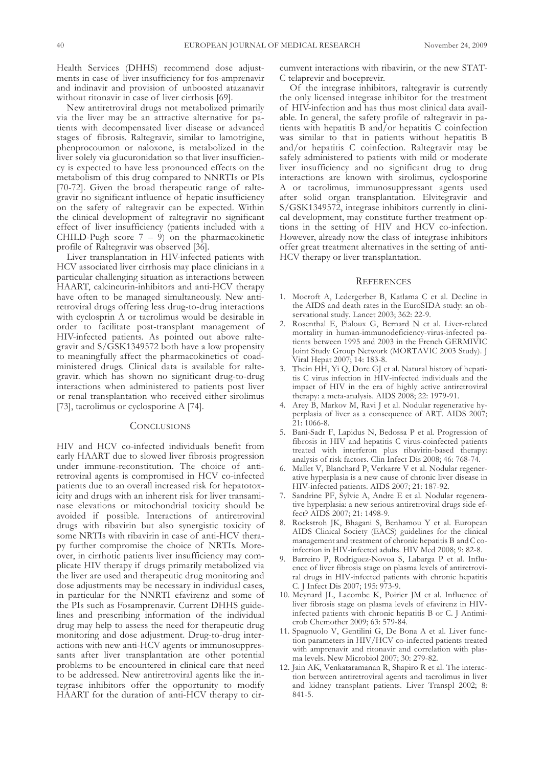Health Services (DHHS) recommend dose adjustments in case of liver insufficiency for fos-amprenavir and indinavir and provision of unboosted atazanavir without ritonavir in case of liver cirrhosis [69].

New antiretroviral drugs not metabolized primarily via the liver may be an attractive alternative for patients with decompensated liver disease or advanced stages of fibrosis. Raltegravir, similar to lamotrigine, phenprocoumon or naloxone, is metabolized in the liver solely via glucuronidation so that liver insufficiency is expected to have less pronounced effects on the metabolism of this drug compared to NNRTIs or PIs [70-72]. Given the broad therapeutic range of raltegravir no significant influence of hepatic insufficiency on the safety of raltegravir can be expected. Within the clinical development of raltegravir no significant effect of liver insufficiency (patients included with a CHILD-Pugh score  $7 - 9$  on the pharmacokinetic profile of Raltegravir was observed [36].

Liver transplantation in HIV-infected patients with HCV associated liver cirrhosis may place clinicians in a particular challenging situation as interactions between HAART, calcineurin-inhibitors and anti-HCV therapy have often to be managed simultaneously. New antiretroviral drugs offering less drug-to-drug interactions with cyclosprin A or tacrolimus would be desirable in order to facilitate post-transplant management of HIV-infected patients. As pointed out above raltegravir and S/GSK1349572 both have a low propensity to meaningfully affect the pharmacokinetics of coadministered drugs. Clinical data is available for raltegravir. which has shown no significant drug-to-drug interactions when administered to patients post liver or renal transplantation who received either sirolimus [73], tacrolimus or cyclosporine A [74].

### **CONCLUSIONS**

HIV and HCV co-infected individuals benefit from early HAART due to slowed liver fibrosis progression under immune-reconstitution. The choice of antiretroviral agents is compromised in HCV co-infected patients due to an overall increased risk for hepatotoxicity and drugs with an inherent risk for liver transaminase elevations or mitochondrial toxicity should be avoided if possible. Interactions of antiretroviral drugs with ribavirin but also synergistic toxicity of some NRTIs with ribavirin in case of anti-HCV therapy further compromise the choice of NRTIs. Moreover, in cirrhotic patients liver insufficiency may complicate HIV therapy if drugs primarily metabolized via the liver are used and therapeutic drug monitoring and dose adjustments may be necessary in individual cases, in particular for the NNRTI efavirenz and some of the PIs such as Fosamprenavir. Current DHHS guidelines and prescribing information of the individual drug may help to assess the need for therapeutic drug monitoring and dose adjustment. Drug-to-drug interactions with new anti-HCV agents or immunosuppressants after liver transplantation are other potential problems to be encountered in clinical care that need to be addressed. New antiretroviral agents like the integrase inhibitors offer the opportunity to modify HAART for the duration of anti-HCV therapy to circumvent interactions with ribavirin, or the new STAT-C telaprevir and boceprevir.

Of the integrase inhibitors, raltegravir is currently the only licensed integrase inhibitor for the treatment of HIV-infection and has thus most clinical data available. In general, the safety profile of raltegravir in patients with hepatitis B and/or hepatitis C coinfection was similar to that in patients without hepatitis B and/or hepatitis C coinfection. Raltegravir may be safely administered to patients with mild or moderate liver insufficiency and no significant drug to drug interactions are known with sirolimus, cyclosporine A or tacrolimus, immunosuppressant agents used after solid organ transplantation. Elvitegravir and S/GSK1349572, integrase inhibitors currently in clinical development, may constitute further treatment options in the setting of HIV and HCV co-infection. However, already now the class of integrase inhibitors offer great treatment alternatives in the setting of anti-HCV therapy or liver transplantation.

#### **REFERENCES**

- 1. Mocroft A, Ledergerber B, Katlama C et al. Decline in the AIDS and death rates in the EuroSIDA study: an observational study. Lancet 2003; 362: 22-9.
- 2. Rosenthal E, Pialoux G, Bernard N et al. Liver-related mortality in human-immunodeficiency-virus-infected patients between 1995 and 2003 in the French GERMIVIC Joint Study Group Network (MORTAVIC 2003 Study). J Viral Hepat 2007; 14: 183-8.
- 3. Thein HH, Yi Q, Dore GJ et al. Natural history of hepatitis C virus infection in HIV-infected individuals and the impact of HIV in the era of highly active antiretroviral therapy: a meta-analysis. AIDS 2008; 22: 1979-91.
- 4. Arey B, Markov M, Ravi J et al. Nodular regenerative hyperplasia of liver as a consequence of ART. AIDS 2007; 21: 1066-8.
- 5. Bani-Sadr F, Lapidus N, Bedossa P et al. Progression of fibrosis in HIV and hepatitis C virus-coinfected patients treated with interferon plus ribavirin-based therapy: analysis of risk factors. Clin Infect Dis 2008; 46: 768-74.
- 6. Mallet V, Blanchard P, Verkarre V et al. Nodular regenerative hyperplasia is a new cause of chronic liver disease in HIV-infected patients. AIDS 2007; 21: 187-92.
- 7. Sandrine PF, Sylvie A, Andre E et al. Nodular regenerative hyperplasia: a new serious antiretroviral drugs side effect? AIDS 2007; 21: 1498-9.
- 8. Rockstroh JK, Bhagani S, Benhamou Y et al. European AIDS Clinical Society (EACS) guidelines for the clinical management and treatment of chronic hepatitis B and C coinfection in HIV-infected adults. HIV Med 2008; 9: 82-8.
- 9. Barreiro P, Rodriguez-Novoa S, Labarga P et al. Influence of liver fibrosis stage on plasma levels of antiretroviral drugs in HIV-infected patients with chronic hepatitis C. J Infect Dis 2007; 195: 973-9.
- 10. Meynard JL, Lacombe K, Poirier JM et al. Influence of liver fibrosis stage on plasma levels of efavirenz in HIVinfected patients with chronic hepatitis B or C. J Antimicrob Chemother 2009; 63: 579-84.
- 11. Spagnuolo V, Gentilini G, De Bona A et al. Liver function parameters in HIV/HCV co-infected patients treated with amprenavir and ritonavir and correlation with plasma levels. New Microbiol 2007; 30: 279-82.
- 12. Jain AK, Venkataramanan R, Shapiro R et al. The interaction between antiretroviral agents and tacrolimus in liver and kidney transplant patients. Liver Transpl 2002; 8: 841-5.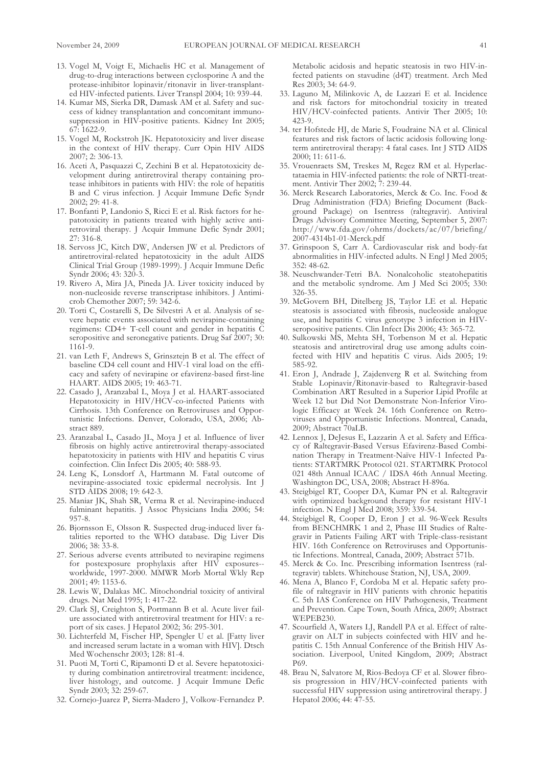- 13. Vogel M, Voigt E, Michaelis HC et al. Management of drug-to-drug interactions between cyclosporine A and the protease-inhibitor lopinavir/ritonavir in liver-transplanted HIV-infected patients. Liver Transpl 2004; 10: 939-44.
- 14. Kumar MS, Sierka DR, Damask AM et al. Safety and success of kidney transplantation and concomitant immunosuppression in HIV-positive patients. Kidney Int 2005; 67: 1622-9.
- 15. Vogel M, Rockstroh JK. Hepatotoxicity and liver disease in the context of HIV therapy. Curr Opin HIV AIDS 2007; 2: 306-13.
- 16. Aceti A, Pasquazzi C, Zechini B et al. Hepatotoxicity development during antiretroviral therapy containing protease inhibitors in patients with HIV: the role of hepatitis B and C virus infection. J Acquir Immune Defic Syndr 2002; 29: 41-8.
- 17. Bonfanti P, Landonio S, Ricci E et al. Risk factors for hepatotoxicity in patients treated with highly active antiretroviral therapy. J Acquir Immune Defic Syndr 2001; 27: 316-8.
- 18. Servoss JC, Kitch DW, Andersen JW et al. Predictors of antiretroviral-related hepatotoxicity in the adult AIDS Clinical Trial Group (1989-1999). J Acquir Immune Defic Syndr 2006; 43: 320-3.
- 19. Rivero A, Mira JA, Pineda JA. Liver toxicity induced by non-nucleoside reverse transcriptase inhibitors. J Antimicrob Chemother 2007; 59: 342-6.
- 20. Torti C, Costarelli S, De Silvestri A et al. Analysis of severe hepatic events associated with nevirapine-containing regimens: CD4+ T-cell count and gender in hepatitis C seropositive and seronegative patients. Drug Saf 2007; 30: 1161-9.
- 21. van Leth F, Andrews S, Grinsztejn B et al. The effect of baseline CD4 cell count and HIV-1 viral load on the efficacy and safety of nevirapine or efavirenz-based first-line HAART. AIDS 2005; 19: 463-71.
- 22. Casado J, Aranzabal L, Moya J et al. HAART-associated Hepatotoxicity in HIV/HCV-co-infected Patients with Cirrhosis. 13th Conference on Retroviruses and Opportunistic Infections. Denver, Colorado, USA, 2006; Abstract 889.
- 23. Aranzabal L, Casado JL, Moya J et al. Influence of liver fibrosis on highly active antiretroviral therapy-associated hepatotoxicity in patients with HIV and hepatitis C virus coinfection. Clin Infect Dis 2005; 40: 588-93.
- 24. Leng K, Lonsdorf A, Hartmann M. Fatal outcome of nevirapine-associated toxic epidermal necrolysis. Int J STD AIDS 2008; 19: 642-3.
- 25. Maniar JK, Shah SR, Verma R et al. Nevirapine-induced fulminant hepatitis. J Assoc Physicians India 2006; 54: 957-8.
- 26. Bjornsson E, Olsson R. Suspected drug-induced liver fatalities reported to the WHO database. Dig Liver Dis 2006; 38: 33-8.
- 27. Serious adverse events attributed to nevirapine regimens for postexposure prophylaxis after HIV exposures- worldwide, 1997-2000. MMWR Morb Mortal Wkly Rep 2001; 49: 1153-6.
- 28. Lewis W, Dalakas MC. Mitochondrial toxicity of antiviral drugs. Nat Med 1995; 1: 417-22.
- 29. Clark SJ, Creighton S, Portmann B et al. Acute liver failure associated with antiretroviral treatment for HIV: a report of six cases. J Hepatol 2002; 36: 295-301.
- 30. Lichterfeld M, Fischer HP, Spengler U et al. [Fatty liver and increased serum lactate in a woman with HIV]. Dtsch Med Wochenschr 2003; 128: 81-4.
- 31. Puoti M, Torti C, Ripamonti D et al. Severe hepatotoxicity during combination antiretroviral treatment: incidence, liver histology, and outcome. J Acquir Immune Defic Syndr 2003; 32: 259-67.
- 32. Cornejo-Juarez P, Sierra-Madero J, Volkow-Fernandez P.

Metabolic acidosis and hepatic steatosis in two HIV-infected patients on stavudine (d4T) treatment. Arch Med Res 2003; 34: 64-9.

- 33. Laguno M, Milinkovic A, de Lazzari E et al. Incidence and risk factors for mitochondrial toxicity in treated HIV/HCV-coinfected patients. Antivir Ther 2005; 10: 423-9.
- 34. ter Hofstede HJ, de Marie S, Foudraine NA et al. Clinical features and risk factors of lactic acidosis following longterm antiretroviral therapy: 4 fatal cases. Int J STD AIDS 2000; 11: 611-6.
- 35. Vrouenraets SM, Treskes M, Regez RM et al. Hyperlactataemia in HIV-infected patients: the role of NRTI-treatment. Antivir Ther 2002; 7: 239-44.
- 36. Merck Research Laboratories, Merck & Co. Inc. Food & Drug Administration (FDA) Briefing Document (Background Package) on Isentress (raltegravir). Antiviral Drugs Advisory Committee Meeting, September 5, 2007: http://www.fda.gov/ohrms/dockets/ac/07/briefing/ 2007-4314b1-01-Merck.pdf
- 37. Grinspoon S, Carr A. Cardiovascular risk and body-fat abnormalities in HIV-infected adults. N Engl J Med 2005; 352: 48-62.
- 38. Neuschwander-Tetri BA. Nonalcoholic steatohepatitis and the metabolic syndrome. Am J Med Sci 2005; 330: 326-35.
- 39. McGovern BH, Ditelberg JS, Taylor LE et al. Hepatic steatosis is associated with fibrosis, nucleoside analogue use, and hepatitis C virus genotype 3 infection in HIVseropositive patients. Clin Infect Dis 2006; 43: 365-72.
- 40. Sulkowski MS, Mehta SH, Torbenson M et al. Hepatic steatosis and antiretroviral drug use among adults coinfected with HIV and hepatitis C virus. Aids 2005; 19: 585-92.
- 41. Eron J, Andrade J, Zajdenverg R et al. Switching from Stable Lopinavir/Ritonavir-based to Raltegravir-based Combination ART Resulted in a Superior Lipid Profile at Week 12 but Did Not Demonstrate Non-Inferior Virologic Efficacy at Week 24. 16th Conference on Retroviruses and Opportunistic Infections. Montreal, Canada, 2009; Abstract 70aLB.
- 42. Lennox J, DeJesus E, Lazzarin A et al. Safety and Efficacy of Raltegravir-Based Versus Efavirenz-Based Combination Therapy in Treatment-Naïve HIV-1 Infected Patients: STARTMRK Protocol 021. STARTMRK Protocol 021 48th Annual ICAAC / IDSA 46th Annual Meeting. Washington DC, USA, 2008; Abstract H-896a.
- 43. Steigbigel RT, Cooper DA, Kumar PN et al. Raltegravir with optimized background therapy for resistant HIV-1 infection. N Engl J Med 2008; 359: 339-54.
- 44. Steigbigel R, Cooper D, Eron J et al. 96-Week Results from BENCHMRK 1 and 2, Phase III Studies of Raltegravir in Patients Failing ART with Triple-class-resistant HIV. 16th Conference on Retroviruses and Opportunistic Infections. Montreal, Canada, 2009; Abstract 571b.
- 45. Merck & Co. Inc. Prescribing information Isentress (raltegravir) tablets. Whitehouse Station, NJ, USA, 2009.
- 46. Mena A, Blanco F, Cordoba M et al. Hepatic safety profile of raltegravir in HIV patients with chronic hepatitis C. 5th IAS Conference on HIV Pathogenesis, Treatment and Prevention. Cape Town, South Africa, 2009; Abstract WEPEB230.
- 47. Scourfield A, Waters LJ, Randell PA et al. Effect of raltegravir on ALT in subjects coinfected with HIV and hepatitis C. 15th Annual Conference of the British HIV Association. Liverpool, United Kingdom, 2009; Abstract P69.
- 48. Brau N, Salvatore M, Rios-Bedoya CF et al. Slower fibrosis progression in HIV/HCV-coinfected patients with successful HIV suppression using antiretroviral therapy. J Hepatol 2006; 44: 47-55.